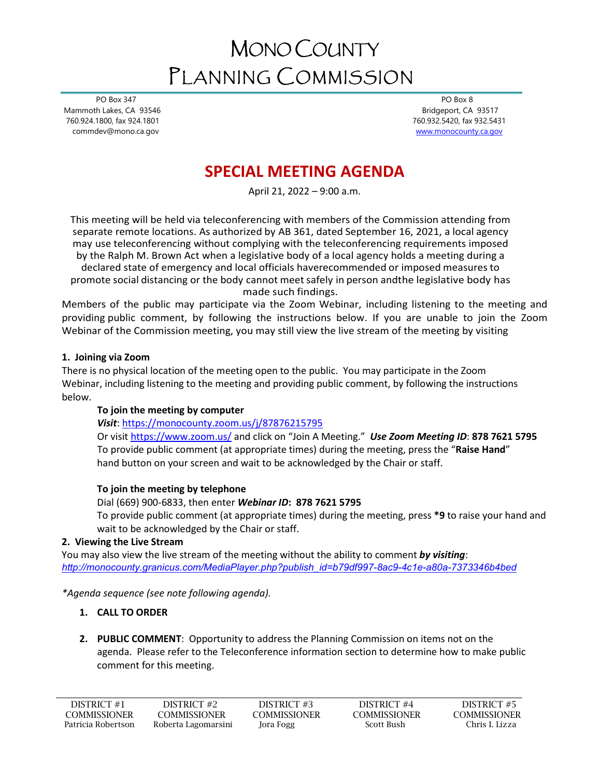# MONO COUNTY PLANNING COMMISSION

 PO Box 347 Mammoth Lakes, CA 93546 760.924.1800, fax 924.1801 commdev@mono.ca.gov

 PO Box 8 Bridgeport, CA 93517 760.932.5420, fax 932.5431 [www.monocounty.ca.gov](http://www.monocounty.ca.gov/) 

## **SPECIAL MEETING AGENDA**

April 21, 2022 – 9:00 a.m.

This meeting will be held via teleconferencing with members of the Commission attending from separate remote locations. As authorized by AB 361, dated September 16, 2021, a local agency may use teleconferencing without complying with the teleconferencing requirements imposed by the Ralph M. Brown Act when a legislative body of a local agency holds a meeting during a

declared state of emergency and local officials haverecommended or imposed measures to promote social distancing or the body cannot meetsafely in person andthe legislative body has

made such findings.

Members of the public may participate via the Zoom Webinar, including listening to the meeting and providing public comment, by following the instructions below. If you are unable to join the Zoom Webinar of the Commission meeting, you may still view the live stream of the meeting by visiting

#### **1. Joining via Zoom**

There is no physical location of the meeting open to the public. You may participate in the Zoom Webinar, including listening to the meeting and providing public comment, by following the instructions below.

#### **To join the meeting by computer**

*Visit*: <https://monocounty.zoom.us/j/87876215795>

Or visit<https://www.zoom.us/> and click on "Join A Meeting." *Use Zoom Meeting ID*: **878 7621 5795** To provide public comment (at appropriate times) during the meeting, press the "**Raise Hand**" hand button on your screen and wait to be acknowledged by the Chair or staff.

#### **To join the meeting by telephone**

Dial (669) 900-6833, then enter *Webinar ID***: 878 7621 5795**

To provide public comment (at appropriate times) during the meeting, press **\*9** to raise your hand and wait to be acknowledged by the Chair or staff.

#### **2. Viewing the Live Stream**

You may also view the live stream of the meeting without the ability to comment *by visiting*: *[http://monocounty.granicus.com/MediaPlayer.php?publish\\_id=b79df997-8ac9-4c1e-a80a-7373346b4bed](http://monocounty.granicus.com/MediaPlayer.php?publish_id=b79df997-8ac9-4c1e-a80a-7373346b4bed)*

*\*Agenda sequence (see note following agenda).* 

#### **1. CALL TO ORDER**

**2. PUBLIC COMMENT**: Opportunity to address the Planning Commission on items not on the agenda. Please refer to the Teleconference information section to determine how to make public comment for this meeting.